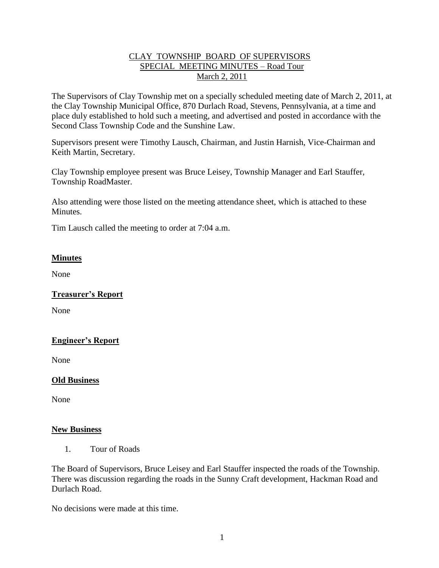### CLAY TOWNSHIP BOARD OF SUPERVISORS SPECIAL MEETING MINUTES – Road Tour March 2, 2011

The Supervisors of Clay Township met on a specially scheduled meeting date of March 2, 2011, at the Clay Township Municipal Office, 870 Durlach Road, Stevens, Pennsylvania, at a time and place duly established to hold such a meeting, and advertised and posted in accordance with the Second Class Township Code and the Sunshine Law.

Supervisors present were Timothy Lausch, Chairman, and Justin Harnish, Vice-Chairman and Keith Martin, Secretary.

Clay Township employee present was Bruce Leisey, Township Manager and Earl Stauffer, Township RoadMaster.

Also attending were those listed on the meeting attendance sheet, which is attached to these Minutes.

Tim Lausch called the meeting to order at 7:04 a.m.

## **Minutes**

None

### **Treasurer's Report**

None

### **Engineer's Report**

None

#### **Old Business**

None

#### **New Business**

1. Tour of Roads

The Board of Supervisors, Bruce Leisey and Earl Stauffer inspected the roads of the Township. There was discussion regarding the roads in the Sunny Craft development, Hackman Road and Durlach Road.

No decisions were made at this time.